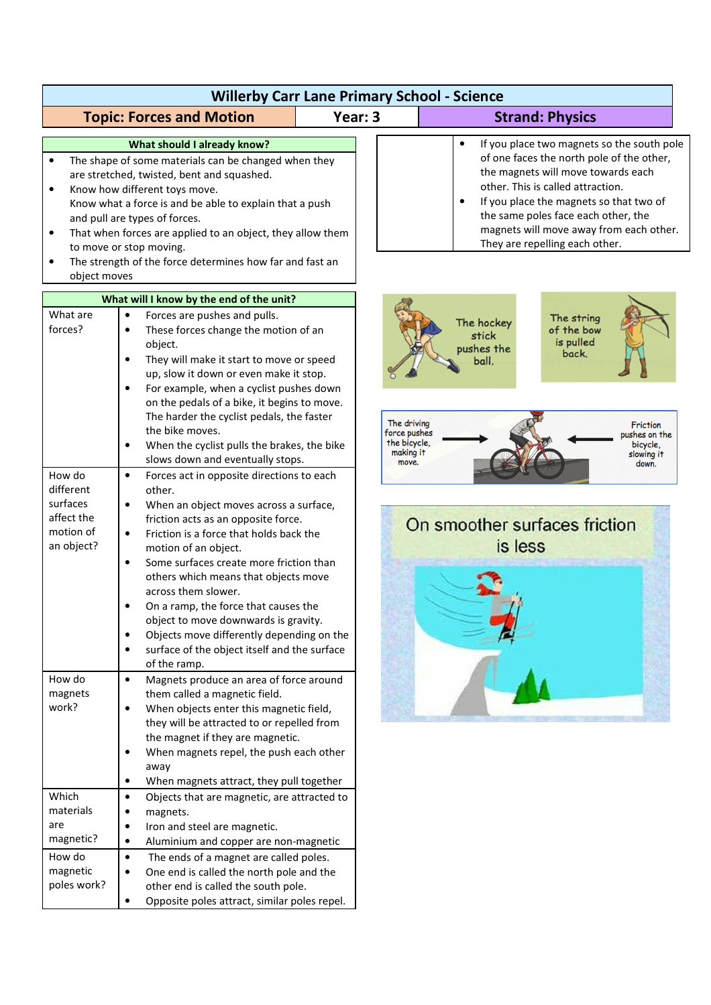| <b>Willerby Carr Lane Primary School - Science</b>                                                                                                                                                                                                                                                                                                                                                                                                                                      |                                                                                                                                                                                                                                                                                                                                                                                                                                                                                                                                                                                              |         |                                                                                                                                                                                                                                                                                                                                                             |  |  |
|-----------------------------------------------------------------------------------------------------------------------------------------------------------------------------------------------------------------------------------------------------------------------------------------------------------------------------------------------------------------------------------------------------------------------------------------------------------------------------------------|----------------------------------------------------------------------------------------------------------------------------------------------------------------------------------------------------------------------------------------------------------------------------------------------------------------------------------------------------------------------------------------------------------------------------------------------------------------------------------------------------------------------------------------------------------------------------------------------|---------|-------------------------------------------------------------------------------------------------------------------------------------------------------------------------------------------------------------------------------------------------------------------------------------------------------------------------------------------------------------|--|--|
|                                                                                                                                                                                                                                                                                                                                                                                                                                                                                         | <b>Topic: Forces and Motion</b>                                                                                                                                                                                                                                                                                                                                                                                                                                                                                                                                                              | Year: 3 | <b>Strand: Physics</b>                                                                                                                                                                                                                                                                                                                                      |  |  |
| What should I already know?<br>The shape of some materials can be changed when they<br>$\bullet$<br>are stretched, twisted, bent and squashed.<br>Know how different toys move.<br>$\bullet$<br>Know what a force is and be able to explain that a push<br>and pull are types of forces.<br>That when forces are applied to an object, they allow them<br>$\bullet$<br>to move or stop moving.<br>The strength of the force determines how far and fast an<br>$\bullet$<br>object moves |                                                                                                                                                                                                                                                                                                                                                                                                                                                                                                                                                                                              |         | If you place two magnets so the south pole<br>$\bullet$<br>of one faces the north pole of the other,<br>the magnets will move towards each<br>other. This is called attraction.<br>If you place the magnets so that two of<br>$\bullet$<br>the same poles face each other, the<br>magnets will move away from each other.<br>They are repelling each other. |  |  |
| What will I know by the end of the unit?                                                                                                                                                                                                                                                                                                                                                                                                                                                |                                                                                                                                                                                                                                                                                                                                                                                                                                                                                                                                                                                              |         |                                                                                                                                                                                                                                                                                                                                                             |  |  |
| What are<br>forces?                                                                                                                                                                                                                                                                                                                                                                                                                                                                     | Forces are pushes and pulls.<br>$\bullet$<br>These forces change the motion of an<br>object.<br>They will make it start to move or speed<br>up, slow it down or even make it stop.<br>For example, when a cyclist pushes down<br>$\bullet$<br>on the pedals of a bike, it begins to move.                                                                                                                                                                                                                                                                                                    |         | The string<br>The hockey<br>of the bow<br>stick<br>is pulled<br>pushes the<br>back.<br>ball.                                                                                                                                                                                                                                                                |  |  |
|                                                                                                                                                                                                                                                                                                                                                                                                                                                                                         | The harder the cyclist pedals, the faster<br>the bike moves.<br>When the cyclist pulls the brakes, the bike<br>slows down and eventually stops.                                                                                                                                                                                                                                                                                                                                                                                                                                              |         | The driving<br>Friction<br>force pushes<br>pushes on the<br>the bicycle,<br>bicycle,<br>making it<br>slowing it<br>move.<br>down.                                                                                                                                                                                                                           |  |  |
| How do<br>different<br>surfaces<br>affect the<br>motion of<br>an object?                                                                                                                                                                                                                                                                                                                                                                                                                | Forces act in opposite directions to each<br>$\bullet$<br>other.<br>When an object moves across a surface,<br>$\bullet$<br>friction acts as an opposite force.<br>Friction is a force that holds back the<br>$\bullet$<br>motion of an object.<br>Some surfaces create more friction than<br>$\bullet$<br>others which means that objects move<br>across them slower.<br>On a ramp, the force that causes the<br>object to move downwards is gravity.<br>Objects move differently depending on the<br>$\bullet$<br>surface of the object itself and the surface<br>$\bullet$<br>of the ramp. |         | On smoother surfaces friction<br>is less                                                                                                                                                                                                                                                                                                                    |  |  |
| How do<br>magnets<br>work?                                                                                                                                                                                                                                                                                                                                                                                                                                                              | Magnets produce an area of force around<br>$\bullet$<br>them called a magnetic field.<br>When objects enter this magnetic field,<br>$\bullet$<br>they will be attracted to or repelled from<br>the magnet if they are magnetic.<br>When magnets repel, the push each other<br>away<br>When magnets attract, they pull together                                                                                                                                                                                                                                                               |         |                                                                                                                                                                                                                                                                                                                                                             |  |  |
| Which<br>materials<br>are<br>magnetic?<br>How do<br>magnetic<br>poles work?                                                                                                                                                                                                                                                                                                                                                                                                             | Objects that are magnetic, are attracted to<br>$\bullet$<br>magnets.<br>$\bullet$<br>Iron and steel are magnetic.<br>$\bullet$<br>Aluminium and copper are non-magnetic<br>$\bullet$<br>The ends of a magnet are called poles.<br>$\bullet$<br>One end is called the north pole and the<br>$\bullet$<br>other end is called the south pole.<br>Opposite poles attract, similar poles repel.                                                                                                                                                                                                  |         |                                                                                                                                                                                                                                                                                                                                                             |  |  |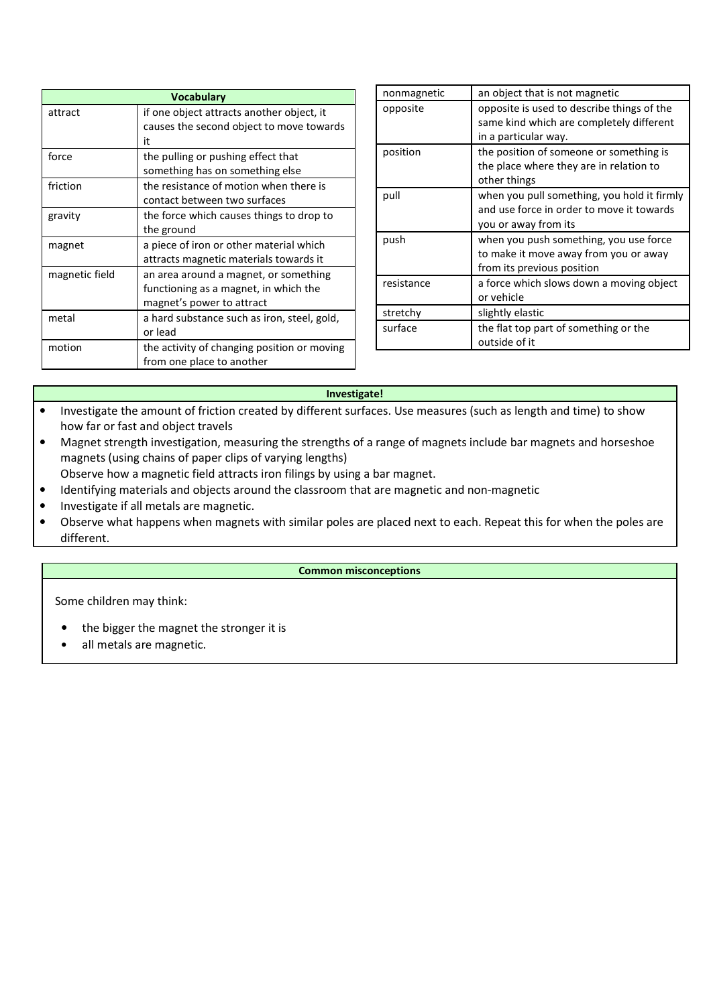| <b>Vocabulary</b> |                                             |  |
|-------------------|---------------------------------------------|--|
| attract           | if one object attracts another object, it   |  |
|                   | causes the second object to move towards    |  |
|                   | it                                          |  |
| force             | the pulling or pushing effect that          |  |
|                   | something has on something else             |  |
| friction          | the resistance of motion when there is      |  |
|                   | contact between two surfaces                |  |
| gravity           | the force which causes things to drop to    |  |
|                   | the ground                                  |  |
| magnet            | a piece of iron or other material which     |  |
|                   | attracts magnetic materials towards it      |  |
| magnetic field    | an area around a magnet, or something       |  |
|                   | functioning as a magnet, in which the       |  |
|                   | magnet's power to attract                   |  |
| metal             | a hard substance such as iron, steel, gold, |  |
|                   | or lead                                     |  |
| motion            | the activity of changing position or moving |  |
|                   | from one place to another                   |  |

| nonmagnetic | an object that is not magnetic                                                                                   |
|-------------|------------------------------------------------------------------------------------------------------------------|
| opposite    | opposite is used to describe things of the<br>same kind which are completely different<br>in a particular way.   |
| position    | the position of someone or something is<br>the place where they are in relation to<br>other things               |
| pull        | when you pull something, you hold it firmly<br>and use force in order to move it towards<br>you or away from its |
| push        | when you push something, you use force<br>to make it move away from you or away<br>from its previous position    |
| resistance  | a force which slows down a moving object<br>or vehicle                                                           |
| stretchy    | slightly elastic                                                                                                 |
| surface     | the flat top part of something or the<br>outside of it                                                           |

## **Investigate!**

- Investigate the amount of friction created by different surfaces. Use measures (such as length and time) to show how far or fast and object travels
- Magnet strength investigation, measuring the strengths of a range of magnets include bar magnets and horseshoe magnets (using chains of paper clips of varying lengths)
- Observe how a magnetic field attracts iron filings by using a bar magnet.
- Identifying materials and objects around the classroom that are magnetic and non-magnetic
- Investigate if all metals are magnetic.
- Observe what happens when magnets with similar poles are placed next to each. Repeat this for when the poles are different.

## **Common misconceptions**

Some children may think:

- the bigger the magnet the stronger it is
- all metals are magnetic.